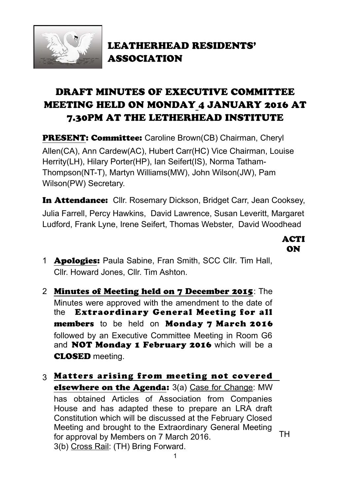

## LEATHERHEAD RESIDENTS' ASSOCIATION

## DRAFT MINUTES OF EXECUTIVE COMMITTEE MEETING HELD ON MONDAY 4 JANUARY 2016 AT 7.30PM AT THE LETHERHEAD INSTITUTE

PRESENT: Committee: Caroline Brown(CB) Chairman, Cheryl Allen(CA), Ann Cardew(AC), Hubert Carr(HC) Vice Chairman, Louise Herrity(LH), Hilary Porter(HP), Ian Seifert(IS), Norma Tatham-Thompson(NT-T), Martyn Williams(MW), John Wilson(JW), Pam Wilson(PW) Secretary.

**In Attendance:** Cllr. Rosemary Dickson, Bridget Carr, Jean Cooksey, Julia Farrell, Percy Hawkins, David Lawrence, Susan Leveritt, Margaret Ludford, Frank Lyne, Irene Seifert, Thomas Webster, David Woodhead

- ACTI ON
- 1 **Apologies:** Paula Sabine, Fran Smith, SCC Cllr. Tim Hall, Cllr. Howard Jones, Cllr. Tim Ashton.
- 2 Minutes of Meeting held on 7 December 2015: The Minutes were approved with the amendment to the date of the Extraordinary General Meeting for all members to be held on Monday 7 March 2016 followed by an Executive Committee Meeting in Room G6 and **NOT Monday 1 February 2016** which will be a CLOSED meeting.
- 3 Matters arising from meeting not covered elsewhere on the Agenda: 3(a) Case for Change: MW has obtained Articles of Association from Companies House and has adapted these to prepare an LRA draft Constitution which will be discussed at the February Closed Meeting and brought to the Extraordinary General Meeting for approval by Members on 7 March 2016. 3(b) Cross Rail: (TH) Bring Forward. TH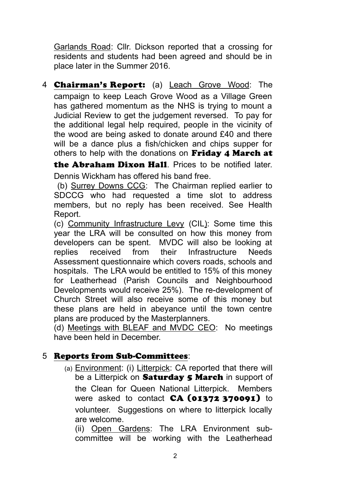Garlands Road: Cllr. Dickson reported that a crossing for residents and students had been agreed and should be in place later in the Summer 2016.

4 **Chairman's Report:** (a) Leach Grove Wood: The campaign to keep Leach Grove Wood as a Village Green has gathered momentum as the NHS is trying to mount a Judicial Review to get the judgement reversed. To pay for the additional legal help required, people in the vicinity of the wood are being asked to donate around £40 and there will be a dance plus a fish/chicken and chips supper for others to help with the donations on Friday 4 March at

the Abraham Dixon Hall. Prices to be notified later. Dennis Wickham has offered his band free.

 (b) Surrey Downs CCG: The Chairman replied earlier to SDCCG who had requested a time slot to address members, but no reply has been received. See Health Report.

(c) Community Infrastructure Levy (CIL): Some time this year the LRA will be consulted on how this money from developers can be spent. MVDC will also be looking at replies received from their Infrastructure Needs Assessment questionnaire which covers roads, schools and hospitals. The LRA would be entitled to 15% of this money for Leatherhead (Parish Councils and Neighbourhood Developments would receive 25%). The re-development of Church Street will also receive some of this money but these plans are held in abeyance until the town centre plans are produced by the Masterplanners.

(d) Meetings with BLEAF and MVDC CEO: No meetings have been held in December.

## 5 Reports from Sub-Committees:

(a) Environment: (i) Litterpick: CA reported that there will be a Litterpick on **Saturday 5 March** in support of the Clean for Queen National Litterpick. Members were asked to contact **CA (01372 370091)** to volunteer. Suggestions on where to litterpick locally are welcome.

(ii) Open Gardens: The LRA Environment subcommittee will be working with the Leatherhead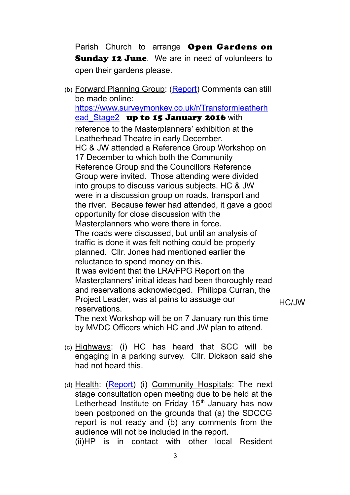Parish Church to arrange **Open Gardens on Sunday 12 June.** We are in need of volunteers to open their gardens please.

- (b) Forward Planning Group: [\(Report\)](http://leatherheadresidents.org.uk/Reports/FPG_January_2016.pdf) Comments can still be made online: [https://www.surveymonkey.co.uk/r/Transformleatherh](https://www.surveymonkey.co.uk/r/Transformleatherhead_Stage2) ead Stage2 up to 15 January 2016 with reference to the Masterplanners' exhibition at the Leatherhead Theatre in early December. HC & JW attended a Reference Group Workshop on 17 December to which both the Community Reference Group and the Councillors Reference Group were invited. Those attending were divided into groups to discuss various subjects. HC & JW were in a discussion group on roads, transport and the river. Because fewer had attended, it gave a good opportunity for close discussion with the Masterplanners who were there in force. The roads were discussed, but until an analysis of traffic is done it was felt nothing could be properly planned. Cllr. Jones had mentioned earlier the reluctance to spend money on this. It was evident that the LRA/FPG Report on the Masterplanners' initial ideas had been thoroughly read and reservations acknowledged. Philippa Curran, the Project Leader, was at pains to assuage our reservations. The next Workshop will be on 7 January run this time by MVDC Officers which HC and JW plan to attend. HC/JW
- (c) Highways: (i) HC has heard that SCC will be engaging in a parking survey. Cllr. Dickson said she had not heard this.
- (d) Health: [\(Report\)](http://leatherheadresidents.org.uk/Reports/Health_January_2016.pdf) (i) Community Hospitals: The next stage consultation open meeting due to be held at the Letherhead Institute on Friday  $15<sup>th</sup>$  January has now been postponed on the grounds that (a) the SDCCG report is not ready and (b) any comments from the audience will not be included in the report. (ii)HP is in contact with other local Resident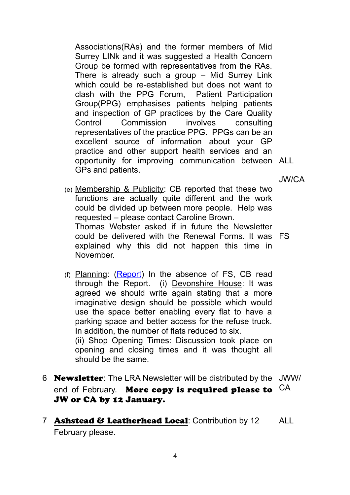Associations(RAs) and the former members of Mid Surrey LINk and it was suggested a Health Concern Group be formed with representatives from the RAs. There is already such a group – Mid Surrey Link which could be re-established but does not want to clash with the PPG Forum, Patient Participation Group(PPG) emphasises patients helping patients and inspection of GP practices by the Care Quality Control Commission involves consulting representatives of the practice PPG. PPGs can be an excellent source of information about your GP practice and other support health services and an opportunity for improving communication between ALL GPs and patients.

JW/CA

- (e) Membership & Publicity: CB reported that these two functions are actually quite different and the work could be divided up between more people. Help was requested – please contact Caroline Brown. Thomas Webster asked if in future the Newsletter could be delivered with the Renewal Forms. It was FS explained why this did not happen this time in **November**
- (f) Planning: [\(Report\)](http://leatherheadresidents.org.uk/Reports/Planning_January_2016.pdf) In the absence of FS, CB read through the Report. (i) Devonshire House: It was agreed we should write again stating that a more imaginative design should be possible which would use the space better enabling every flat to have a parking space and better access for the refuse truck. In addition, the number of flats reduced to six. (ii) Shop Opening Times: Discussion took place on opening and closing times and it was thought all should be the same.
- 6 **Newsletter**: The LRA Newsletter will be distributed by the JWW/ end of February. More copy is required please to JW or CA by 12 January. CA
- 7 **Ashstead & Leatherhead Local:** Contribution by 12 February please. ALL